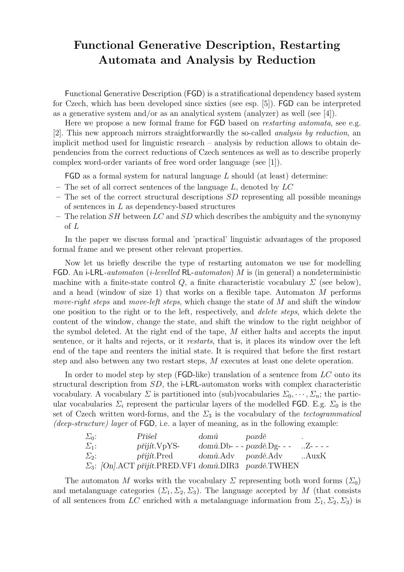## Functional Generative Description, Restarting Automata and Analysis by Reduction

Functional Generative Description (FGD) is a stratificational dependency based system for Czech, which has been developed since sixties (see esp. [5]). FGD can be interpreted as a generative system and/or as an analytical system (analyzer) as well (see [4]).

Here we propose a new formal frame for **FGD** based on *restarting automata*, see e.g. [2]. This new approach mirrors straightforwardly the so-called analysis by reduction, an implicit method used for linguistic research – analysis by reduction allows to obtain dependencies from the correct reductions of Czech sentences as well as to describe properly complex word-order variants of free word order language (see [1]).

 $FGD$  as a formal system for natural language L should (at least) determine:

- The set of all correct sentences of the language  $L$ , denoted by  $LC$
- $-$  The set of the correct structural descriptions  $SD$  representing all possible meanings of sentences in  $L$  as dependency-based structures
- The relation  $SH$  between  $LC$  and  $SD$  which describes the ambiguity and the synonymy of L

In the paper we discuss formal and 'practical' linguistic advantages of the proposed formal frame and we present other relevant properties.

Now let us briefly describe the type of restarting automaton we use for modelling FGD. An i-LRL-automaton (*i-levelled* RL-automaton) M is (in general) a nondeterministic machine with a finite-state control  $Q$ , a finite characteristic vocabulary  $\Sigma$  (see below), and a head (window of size 1) that works on a flexible tape. Automaton M performs move-right steps and move-left steps, which change the state of  $M$  and shift the window one position to the right or to the left, respectively, and delete steps, which delete the content of the window, change the state, and shift the window to the right neighbor of the symbol deleted. At the right end of the tape,  $M$  either halts and accepts the input sentence, or it halts and rejects, or it restarts, that is, it places its window over the left end of the tape and reenters the initial state. It is required that before the first restart step and also between any two restart steps, M executes at least one delete operation.

In order to model step by step ( $\mathsf{FGD-like}$ ) translation of a sentence from LC onto its structural description from SD, the i-LRL-automaton works with complex characteristic vocabulary. A vocabulary  $\Sigma$  is partitioned into (sub)vocabularies  $\Sigma_0, \dots, \Sigma_n$ ; the particular vocabularies  $\Sigma_i$  represent the particular layers of the modelled FGD. E.g.  $\Sigma_0$  is the set of Czech written word-forms, and the  $\Sigma_3$  is the vocabulary of the *tectogrammatical* (deep-structure) layer of  $FGD$ , i.e. a layer of meaning, as in the following example:

| $\Sigma_0$ : | Přišel                                                           | domů pozdě |  |
|--------------|------------------------------------------------------------------|------------|--|
| $\Sigma_1$ : | $pi$ ijít. $VpYS-$                                               |            |  |
| $\Sigma_2$ : | <i>přijít.Pred domů.Adv pozdě.Adv .AuxK</i>                      |            |  |
|              | $\Sigma_3$ : [On]. ACT přijít. PRED. VF1 domů. DIR3 pozdě. TWHEN |            |  |

The automaton M works with the vocabulary  $\Sigma$  representing both word forms  $(\Sigma_0)$ and metalanguage categories  $(\Sigma_1, \Sigma_2, \Sigma_3)$ . The language accepted by M (that consists of all sentences from LC enriched with a metalanguage information from  $\Sigma_1, \Sigma_2, \Sigma_3$  is